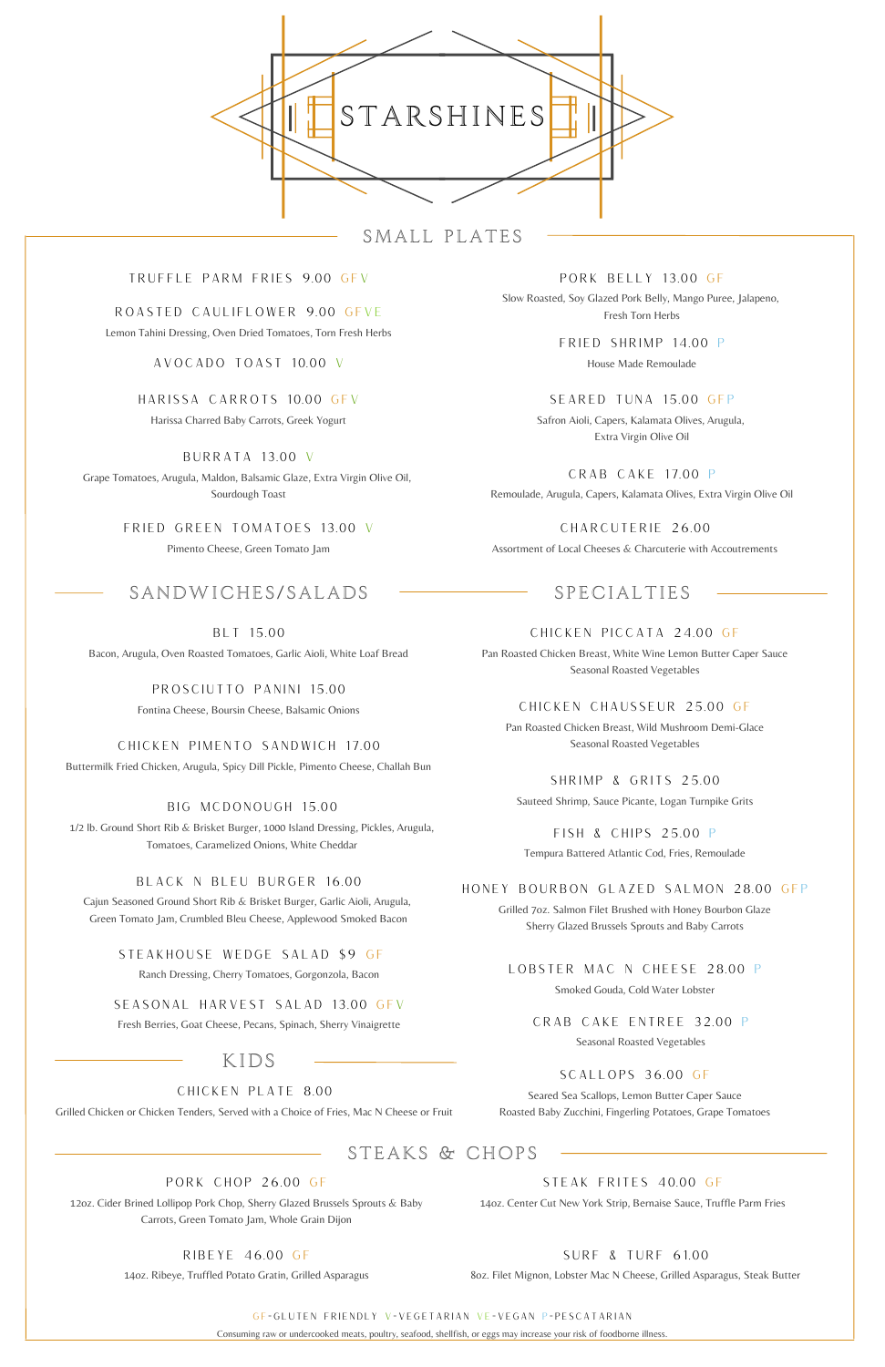AVOCADO TOAST 10.00 V

SCALLOPS 36.00 GF

Seared Sea Scallops, Lemon Butter Caper Sauce Roasted Baby Zucchini, Fingerling Potatoes, Grape Tomatoes

#### SEASONAL HARVEST SALAD 13.00 GFV

Fresh Berries, Goat Cheese, Pecans, Spinach, Sherry Vinaigrette

## HONEY BOURBON GLAZED SALMON 28.00 GFP

Grilled 7oz. Salmon Filet Brushed with Honey Bourbon Glaze Sherry Glazed Brussels Sprouts and Baby Carrots

GF=GLUTEN FRIENDLY V=VEGETARIAN VE=VEGAN P=PESCATARIAN

Consuming raw or undercooked meats, poultry, seafood, shellfish, or eggs may increase your risk of foodborne illness.

BURRATA 13.00 V Grape Tomatoes, Arugula, Maldon, Balsamic Glaze, Extra Virgin Olive Oil, Sourdough Toast

BIG MCDONOUGH 15.00

1/2 lb. Ground Short Rib & Brisket Burger, 1000 Island Dressing, Pickles, Arugula, Tomatoes, Caramelized Onions, White Cheddar



SMALL PLATES

## TRUFFLE PARM FRIES 9.00 GFV

BLT 15.00 Bacon, Arugula, Oven Roasted Tomatoes, Garlic Aioli, White Loaf Bread

CHICKEN PICCATA 24.00 GF Pan Roasted Chicken Breast, White Wine Lemon Butter Caper Sauce Seasonal Roasted Vegetables

> FISH & CHIPS 25.00 P Tempura Battered Atlantic Cod, Fries, Remoulade

FRIED GREEN TOMATOES 13.00 V Pimento Cheese, Green Tomato Jam

# SANDWICHES/SALADS - SPECIALTIES

SHRIMP & GRITS 25.00 Sauteed Shrimp, Sauce Picante, Logan Turnpike Grits

PROSCIUTTO PANINI 15.00

Fontina Cheese, Boursin Cheese, Balsamic Onions

CRAB CAKE ENTREE 32.00 P

Seasonal Roasted Vegetables

FRIED SHRIMP 14.00 P House Made Remoulade

STEAK FRITES 40.00 GF

14oz. Center Cut New York Strip, Bernaise Sauce, Truffle Parm Fries

CRAB CAKE 17.00 P Remoulade, Arugula, Capers, Kalamata Olives, Extra Virgin Olive Oil

SEARED TUNA 15.00 GFP Safron Aioli, Capers, Kalamata Olives, Arugula, Extra Virgin Olive Oil

KIDS

#### CHICKEN PLATE 8.00

Grilled Chicken or Chicken Tenders, Served with a Choice of Fries, Mac N Cheese or Fruit

PORK BELLY 13.00 GF

Slow Roasted, Soy Glazed Pork Belly, Mango Puree, Jalapeno, Fresh Torn Herbs

CHARCUTERIE 26.00 Assortment of Local Cheeses & Charcuterie with Accoutrements

ROASTED CAULIFLOWER 9.00 GFVE

Lemon Tahini Dressing, Oven Dried Tomatoes, Torn Fresh Herbs

HARISSA CARROTS 10.00 GFV Harissa Charred Baby Carrots, Greek Yogurt

## CHICKEN PIMENTO SANDWICH 17.00

Buttermilk Fried Chicken, Arugula, Spicy Dill Pickle, Pimento Cheese, Challah Bun

## BLACK N BLEU BURGER 16.00

Cajun Seasoned Ground Short Rib & Brisket Burger, Garlic Aioli, Arugula, Green Tomato Jam, Crumbled Bleu Cheese, Applewood Smoked Bacon

## STEAKHOUSE WEDGE SALAD \$9 GF

Ranch Dressing, Cherry Tomatoes, Gorgonzola, Bacon

CHICKEN CHAUSSEUR 25.00 GF

Pan Roasted Chicken Breast, Wild Mushroom Demi-Glace Seasonal Roasted Vegetables

LOBSTER MAC N CHEESE 28.00 P

Smoked Gouda, Cold Water Lobster

## STEAKS & CHOPS

#### PORK CHOP 26.00 GF

12oz. Cider Brined Lollipop Pork Chop, Sherry Glazed Brussels Sprouts & Baby Carrots, Green Tomato Jam, Whole Grain Dijon

RIBEYE 46.00 GF

14oz. Ribeye, Truffled Potato Gratin, Grilled Asparagus

SURF & TURF 61.00

8oz. Filet Mignon, Lobster Mac N Cheese, Grilled Asparagus, Steak Butter